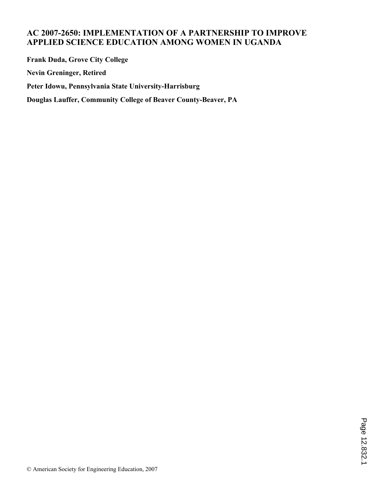# **AC 2007-2650: IMPLEMENTATION OF A PARTNERSHIP TO IMPROVE APPLIED SCIENCE EDUCATION AMONG WOMEN IN UGANDA**

**Frank Duda, Grove City College Nevin Greninger, Retired Peter Idowu, Pennsylvania State University-Harrisburg Douglas Lauffer, Community College of Beaver County-Beaver, PA**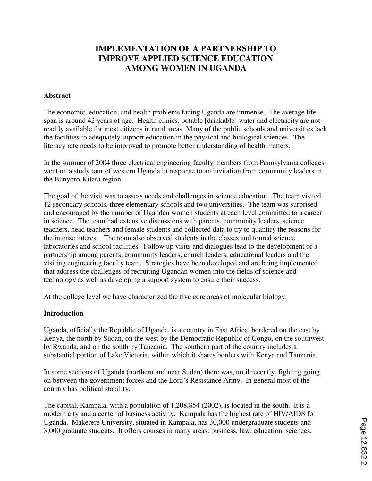# **IMPLEMENTATION OF A PARTNERSHIP TO IMPROVE APPLIED SCIENCE EDUCATION AMONG WOMEN IN UGANDA**

### **Abstract**

The economic, education, and health problems facing Uganda are immense. The average life span is around 42 years of age. Health clinics, potable [drinkable] water and electricity are not readily available for most citizens in rural areas. Many of the public schools and universities lack the facilities to adequately support education in the physical and biological sciences. The literacy rate needs to be improved to promote better understanding of health matters.

In the summer of 2004 three electrical engineering faculty members from Pennsylvania colleges went on a study tour of western Uganda in response to an invitation from community leaders in the Bunyoro-Kitara region.

The goal of the visit was to assess needs and challenges in science education. The team visited 12 secondary schools, three elementary schools and two universities. The team was surprised and encouraged by the number of Ugandan women students at each level committed to a career in science. The team had extensive discussions with parents, community leaders, science teachers, head teachers and female students and collected data to try to quantify the reasons for the intense interest. The team also observed students in the classes and toured science laboratories and school facilities. Follow up visits and dialogues lead to the development of a partnership among parents, community leaders, church leaders, educational leaders and the visiting engineering faculty team. Strategies have been developed and are being implemented that address the challenges of recruiting Ugandan women into the fields of science and technology as well as developing a support system to ensure their success.

At the college level we have characterized the five core areas of molecular biology.

#### **Introduction**

Uganda, officially the Republic of Uganda, is a country in East Africa, bordered on the east by Kenya, the north by Sudan, on the west by the Democratic Republic of Congo, on the southwest by Rwanda, and on the south by Tanzania. The southern part of the country includes a substantial portion of Lake Victoria, within which it shares borders with Kenya and Tanzania.

In some sections of Uganda (northern and near Sudan) there was, until recently, fighting going on between the government forces and the Lord's Resistance Army. In general most of the country has political stability.

The capital, Kampala, with a population of 1,208,854 (2002), is located in the south. It is a modern city and a center of business activity. Kampala has the highest rate of HIV/AIDS for Uganda. Makerere University, situated in Kampala, has 30,000 undergraduate students and 3,000 graduate students. It offers courses in many areas: business, law, education, sciences,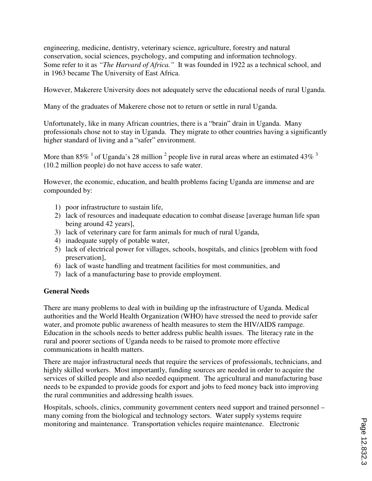engineering, medicine, dentistry, veterinary science, agriculture, forestry and natural conservation, social sciences, psychology, and computing and information technology. Some refer to it as *"The Harvard of Africa."* It was founded in 1922 as a technical school, and in 1963 became The University of East Africa.

However, Makerere University does not adequately serve the educational needs of rural Uganda.

Many of the graduates of Makerere chose not to return or settle in rural Uganda.

Unfortunately, like in many African countries, there is a "brain" drain in Uganda. Many professionals chose not to stay in Uganda. They migrate to other countries having a significantly higher standard of living and a "safer" environment.

More than 85%  $^1$  of Uganda's 28 million  $^2$  people live in rural areas where an estimated 43%  $^3$ (10.2 million people) do not have access to safe water.

However, the economic, education, and health problems facing Uganda are immense and are compounded by:

- 1) poor infrastructure to sustain life,
- 2) lack of resources and inadequate education to combat disease [average human life span being around 42 years],
- 3) lack of veterinary care for farm animals for much of rural Uganda,
- 4) inadequate supply of potable water,
- 5) lack of electrical power for villages, schools, hospitals, and clinics [problem with food preservation],
- 6) lack of waste handling and treatment facilities for most communities, and
- 7) lack of a manufacturing base to provide employment.

#### **General Needs**

There are many problems to deal with in building up the infrastructure of Uganda. Medical authorities and the World Health Organization (WHO) have stressed the need to provide safer water, and promote public awareness of health measures to stem the HIV/AIDS rampage. Education in the schools needs to better address public health issues. The literacy rate in the rural and poorer sections of Uganda needs to be raised to promote more effective communications in health matters.

There are major infrastructural needs that require the services of professionals, technicians, and highly skilled workers. Most importantly, funding sources are needed in order to acquire the services of skilled people and also needed equipment. The agricultural and manufacturing base needs to be expanded to provide goods for export and jobs to feed money back into improving the rural communities and addressing health issues.

Hospitals, schools, clinics, community government centers need support and trained personnel – many coming from the biological and technology sectors. Water supply systems require monitoring and maintenance. Transportation vehicles require maintenance. Electronic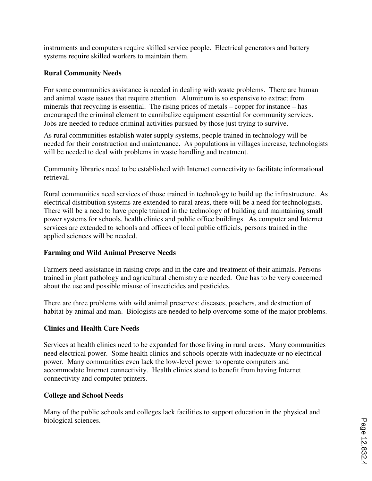instruments and computers require skilled service people. Electrical generators and battery systems require skilled workers to maintain them.

# **Rural Community Needs**

For some communities assistance is needed in dealing with waste problems. There are human and animal waste issues that require attention. Aluminum is so expensive to extract from minerals that recycling is essential. The rising prices of metals – copper for instance – has encouraged the criminal element to cannibalize equipment essential for community services. Jobs are needed to reduce criminal activities pursued by those just trying to survive.

As rural communities establish water supply systems, people trained in technology will be needed for their construction and maintenance. As populations in villages increase, technologists will be needed to deal with problems in waste handling and treatment.

Community libraries need to be established with Internet connectivity to facilitate informational retrieval.

Rural communities need services of those trained in technology to build up the infrastructure. As electrical distribution systems are extended to rural areas, there will be a need for technologists. There will be a need to have people trained in the technology of building and maintaining small power systems for schools, health clinics and public office buildings. As computer and Internet services are extended to schools and offices of local public officials, persons trained in the applied sciences will be needed.

### **Farming and Wild Animal Preserve Needs**

Farmers need assistance in raising crops and in the care and treatment of their animals. Persons trained in plant pathology and agricultural chemistry are needed. One has to be very concerned about the use and possible misuse of insecticides and pesticides.

There are three problems with wild animal preserves: diseases, poachers, and destruction of habitat by animal and man. Biologists are needed to help overcome some of the major problems.

### **Clinics and Health Care Needs**

Services at health clinics need to be expanded for those living in rural areas. Many communities need electrical power. Some health clinics and schools operate with inadequate or no electrical power. Many communities even lack the low-level power to operate computers and accommodate Internet connectivity. Health clinics stand to benefit from having Internet connectivity and computer printers.

### **College and School Needs**

Many of the public schools and colleges lack facilities to support education in the physical and biological sciences.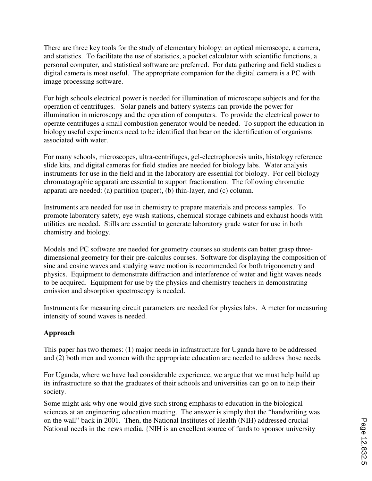There are three key tools for the study of elementary biology: an optical microscope, a camera, and statistics. To facilitate the use of statistics, a pocket calculator with scientific functions, a personal computer, and statistical software are preferred. For data gathering and field studies a digital camera is most useful. The appropriate companion for the digital camera is a PC with image processing software.

For high schools electrical power is needed for illumination of microscope subjects and for the operation of centrifuges. Solar panels and battery systems can provide the power for illumination in microscopy and the operation of computers. To provide the electrical power to operate centrifuges a small combustion generator would be needed. To support the education in biology useful experiments need to be identified that bear on the identification of organisms associated with water.

For many schools, microscopes, ultra-centrifuges, gel-electrophoresis units, histology reference slide kits, and digital cameras for field studies are needed for biology labs. Water analysis instruments for use in the field and in the laboratory are essential for biology. For cell biology chromatographic apparati are essential to support fractionation. The following chromatic apparati are needed: (a) partition (paper), (b) thin-layer, and (c) column.

Instruments are needed for use in chemistry to prepare materials and process samples. To promote laboratory safety, eye wash stations, chemical storage cabinets and exhaust hoods with utilities are needed. Stills are essential to generate laboratory grade water for use in both chemistry and biology.

Models and PC software are needed for geometry courses so students can better grasp threedimensional geometry for their pre-calculus courses. Software for displaying the composition of sine and cosine waves and studying wave motion is recommended for both trigonometry and physics. Equipment to demonstrate diffraction and interference of water and light waves needs to be acquired. Equipment for use by the physics and chemistry teachers in demonstrating emission and absorption spectroscopy is needed.

Instruments for measuring circuit parameters are needed for physics labs. A meter for measuring intensity of sound waves is needed.

# **Approach**

This paper has two themes: (1) major needs in infrastructure for Uganda have to be addressed and (2) both men and women with the appropriate education are needed to address those needs.

For Uganda, where we have had considerable experience, we argue that we must help build up its infrastructure so that the graduates of their schools and universities can go on to help their society.

Some might ask why one would give such strong emphasis to education in the biological sciences at an engineering education meeting. The answer is simply that the "handwriting was on the wall" back in 2001. Then, the National Institutes of Health (NIH) addressed crucial National needs in the news media. {NIH is an excellent source of funds to sponsor university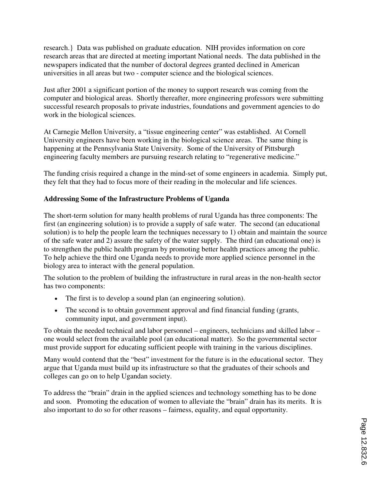research.} Data was published on graduate education. NIH provides information on core research areas that are directed at meeting important National needs. The data published in the newspapers indicated that the number of doctoral degrees granted declined in American universities in all areas but two - computer science and the biological sciences.

Just after 2001 a significant portion of the money to support research was coming from the computer and biological areas. Shortly thereafter, more engineering professors were submitting successful research proposals to private industries, foundations and government agencies to do work in the biological sciences.

At Carnegie Mellon University, a "tissue engineering center" was established. At Cornell University engineers have been working in the biological science areas. The same thing is happening at the Pennsylvania State University. Some of the University of Pittsburgh engineering faculty members are pursuing research relating to "regenerative medicine."

The funding crisis required a change in the mind-set of some engineers in academia. Simply put, they felt that they had to focus more of their reading in the molecular and life sciences.

## **Addressing Some of the Infrastructure Problems of Uganda**

The short-term solution for many health problems of rural Uganda has three components: The first (an engineering solution) is to provide a supply of safe water. The second (an educational solution) is to help the people learn the techniques necessary to 1) obtain and maintain the source of the safe water and 2) assure the safety of the water supply. The third (an educational one) is to strengthen the public health program by promoting better health practices among the public. To help achieve the third one Uganda needs to provide more applied science personnel in the biology area to interact with the general population.

The solution to the problem of building the infrastructure in rural areas in the non-health sector has two components:

- The first is to develop a sound plan (an engineering solution).
- The second is to obtain government approval and find financial funding (grants, community input, and government input).

To obtain the needed technical and labor personnel – engineers, technicians and skilled labor – one would select from the available pool (an educational matter). So the governmental sector must provide support for educating sufficient people with training in the various disciplines.

Many would contend that the "best" investment for the future is in the educational sector. They argue that Uganda must build up its infrastructure so that the graduates of their schools and colleges can go on to help Ugandan society.

To address the "brain" drain in the applied sciences and technology something has to be done and soon. Promoting the education of women to alleviate the "brain" drain has its merits. It is also important to do so for other reasons – fairness, equality, and equal opportunity.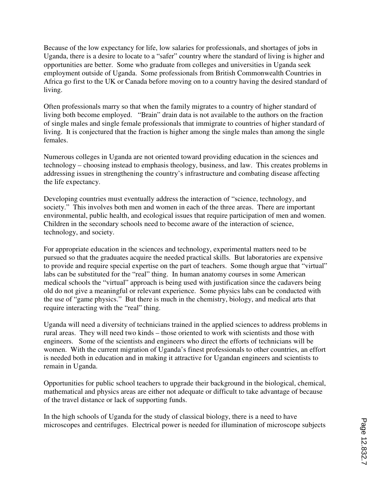Because of the low expectancy for life, low salaries for professionals, and shortages of jobs in Uganda, there is a desire to locate to a "safer" country where the standard of living is higher and opportunities are better. Some who graduate from colleges and universities in Uganda seek employment outside of Uganda. Some professionals from British Commonwealth Countries in Africa go first to the UK or Canada before moving on to a country having the desired standard of living.

Often professionals marry so that when the family migrates to a country of higher standard of living both become employed. "Brain" drain data is not available to the authors on the fraction of single males and single female professionals that immigrate to countries of higher standard of living. It is conjectured that the fraction is higher among the single males than among the single females.

Numerous colleges in Uganda are not oriented toward providing education in the sciences and technology – choosing instead to emphasis theology, business, and law. This creates problems in addressing issues in strengthening the country's infrastructure and combating disease affecting the life expectancy.

Developing countries must eventually address the interaction of "science, technology, and society." This involves both men and women in each of the three areas. There are important environmental, public health, and ecological issues that require participation of men and women. Children in the secondary schools need to become aware of the interaction of science, technology, and society.

For appropriate education in the sciences and technology, experimental matters need to be pursued so that the graduates acquire the needed practical skills. But laboratories are expensive to provide and require special expertise on the part of teachers. Some though argue that "virtual" labs can be substituted for the "real" thing. In human anatomy courses in some American medical schools the "virtual" approach is being used with justification since the cadavers being old do not give a meaningful or relevant experience. Some physics labs can be conducted with the use of "game physics." But there is much in the chemistry, biology, and medical arts that require interacting with the "real" thing.

Uganda will need a diversity of technicians trained in the applied sciences to address problems in rural areas. They will need two kinds – those oriented to work with scientists and those with engineers. Some of the scientists and engineers who direct the efforts of technicians will be women. With the current migration of Uganda's finest professionals to other countries, an effort is needed both in education and in making it attractive for Ugandan engineers and scientists to remain in Uganda.

Opportunities for public school teachers to upgrade their background in the biological, chemical, mathematical and physics areas are either not adequate or difficult to take advantage of because of the travel distance or lack of supporting funds.

In the high schools of Uganda for the study of classical biology, there is a need to have microscopes and centrifuges. Electrical power is needed for illumination of microscope subjects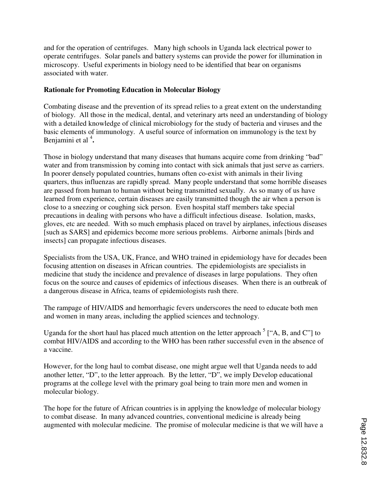and for the operation of centrifuges. Many high schools in Uganda lack electrical power to operate centrifuges. Solar panels and battery systems can provide the power for illumination in microscopy. Useful experiments in biology need to be identified that bear on organisms associated with water.

### **Rationale for Promoting Education in Molecular Biology**

Combating disease and the prevention of its spread relies to a great extent on the understanding of biology. All those in the medical, dental, and veterinary arts need an understanding of biology with a detailed knowledge of clinical microbiology for the study of bacteria and viruses and the basic elements of immunology. A useful source of information on immunology is the text by Benjamini et al <sup>4</sup>.

Those in biology understand that many diseases that humans acquire come from drinking "bad" water and from transmission by coming into contact with sick animals that just serve as carriers. In poorer densely populated countries, humans often co-exist with animals in their living quarters, thus influenzas are rapidly spread. Many people understand that some horrible diseases are passed from human to human without being transmitted sexually. As so many of us have learned from experience, certain diseases are easily transmitted though the air when a person is close to a sneezing or coughing sick person. Even hospital staff members take special precautions in dealing with persons who have a difficult infectious disease. Isolation, masks, gloves, etc are needed. With so much emphasis placed on travel by airplanes, infectious diseases [such as SARS] and epidemics become more serious problems. Airborne animals [birds and insects] can propagate infectious diseases.

Specialists from the USA, UK, France, and WHO trained in epidemiology have for decades been focusing attention on diseases in African countries. The epidemiologists are specialists in medicine that study the incidence and prevalence of diseases in large populations. They often focus on the source and causes of epidemics of infectious diseases. When there is an outbreak of a dangerous disease in Africa, teams of epidemiologists rush there.

The rampage of HIV/AIDS and hemorrhagic fevers underscores the need to educate both men and women in many areas, including the applied sciences and technology.

Uganda for the short haul has placed much attention on the letter approach  $5$  ["A, B, and C"] to combat HIV/AIDS and according to the WHO has been rather successful even in the absence of a vaccine.

However, for the long haul to combat disease, one might argue well that Uganda needs to add another letter, "D", to the letter approach. By the letter, "D", we imply Develop educational programs at the college level with the primary goal being to train more men and women in molecular biology.

The hope for the future of African countries is in applying the knowledge of molecular biology to combat disease. In many advanced countries, conventional medicine is already being augmented with molecular medicine. The promise of molecular medicine is that we will have a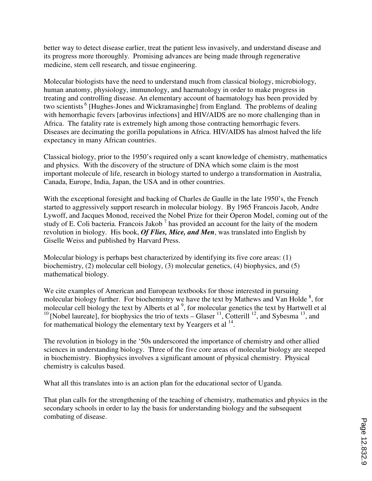better way to detect disease earlier, treat the patient less invasively, and understand disease and its progress more thoroughly. Promising advances are being made through regenerative medicine, stem cell research, and tissue engineering.

Molecular biologists have the need to understand much from classical biology, microbiology, human anatomy, physiology, immunology, and haematology in order to make progress in treating and controlling disease. An elementary account of haematology has been provided by two scientists<sup>6</sup> [Hughes-Jones and Wickramasinghe] from England. The problems of dealing with hemorrhagic fevers [arbovirus infections] and HIV/AIDS are no more challenging than in Africa. The fatality rate is extremely high among those contracting hemorrhagic fevers. Diseases are decimating the gorilla populations in Africa. HIV/AIDS has almost halved the life expectancy in many African countries.

Classical biology, prior to the 1950's required only a scant knowledge of chemistry, mathematics and physics. With the discovery of the structure of DNA which some claim is the most important molecule of life, research in biology started to undergo a transformation in Australia, Canada, Europe, India, Japan, the USA and in other countries.

With the exceptional foresight and backing of Charles de Gaulle in the late 1950's, the French started to aggressively support research in molecular biology. By 1965 Francois Jacob, Andre Lywoff, and Jacques Monod, received the Nobel Prize for their Operon Model, coming out of the study of E. Coli bacteria. Francois Jakob<sup>7</sup> has provided an account for the laity of the modern revolution in biology. His book, *Of Flies, Mice, and Men*, was translated into English by Giselle Weiss and published by Harvard Press.

Molecular biology is perhaps best characterized by identifying its five core areas: (1) biochemistry, (2) molecular cell biology, (3) molecular genetics, (4) biophysics, and (5) mathematical biology.

We cite examples of American and European textbooks for those interested in pursuing molecular biology further. For biochemistry we have the text by Mathews and Van Holde  $\frac{8}{5}$ , for molecular cell biology the text by Alberts et al<sup>9</sup>, for molecular genetics the text by Hartwell et al <sup>10</sup> [Nobel laureate], for biophysics the trio of texts – Glaser  $^{11}$ , Cotterill  $^{12}$ , and Sybesma  $^{13}$ , and for mathematical biology the elementary text by Yeargers et al  $^{14}$ .

The revolution in biology in the '50s underscored the importance of chemistry and other allied sciences in understanding biology. Three of the five core areas of molecular biology are steeped in biochemistry. Biophysics involves a significant amount of physical chemistry. Physical chemistry is calculus based.

What all this translates into is an action plan for the educational sector of Uganda.

That plan calls for the strengthening of the teaching of chemistry, mathematics and physics in the secondary schools in order to lay the basis for understanding biology and the subsequent combating of disease.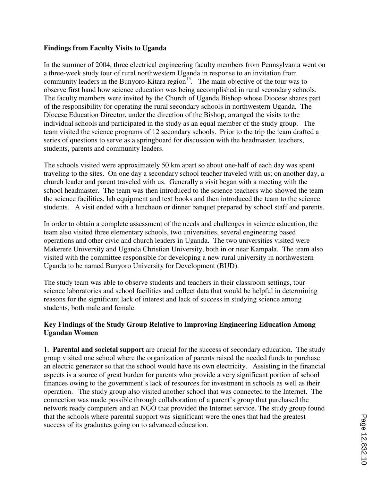### **Findings from Faculty Visits to Uganda**

In the summer of 2004, three electrical engineering faculty members from Pennsylvania went on a three-week study tour of rural northwestern Uganda in response to an invitation from community leaders in the Bunyoro-Kitara region<sup>15</sup>. The main objective of the tour was to observe first hand how science education was being accomplished in rural secondary schools. The faculty members were invited by the Church of Uganda Bishop whose Diocese shares part of the responsibility for operating the rural secondary schools in northwestern Uganda. The Diocese Education Director, under the direction of the Bishop, arranged the visits to the individual schools and participated in the study as an equal member of the study group. The team visited the science programs of 12 secondary schools. Prior to the trip the team drafted a series of questions to serve as a springboard for discussion with the headmaster, teachers, students, parents and community leaders.

The schools visited were approximately 50 km apart so about one-half of each day was spent traveling to the sites. On one day a secondary school teacher traveled with us; on another day, a church leader and parent traveled with us. Generally a visit began with a meeting with the school headmaster. The team was then introduced to the science teachers who showed the team the science facilities, lab equipment and text books and then introduced the team to the science students. A visit ended with a luncheon or dinner banquet prepared by school staff and parents.

In order to obtain a complete assessment of the needs and challenges in science education, the team also visited three elementary schools, two universities, several engineering based operations and other civic and church leaders in Uganda. The two universities visited were Makerere University and Uganda Christian University, both in or near Kampala. The team also visited with the committee responsible for developing a new rural university in northwestern Uganda to be named Bunyoro University for Development (BUD).

The study team was able to observe students and teachers in their classroom settings, tour science laboratories and school facilities and collect data that would be helpful in determining reasons for the significant lack of interest and lack of success in studying science among students, both male and female.

### **Key Findings of the Study Group Relative to Improving Engineering Education Among Ugandan Women**

1. **Parental and societal support** are crucial for the success of secondary education. The study group visited one school where the organization of parents raised the needed funds to purchase an electric generator so that the school would have its own electricity. Assisting in the financial aspects is a source of great burden for parents who provide a very significant portion of school finances owing to the government's lack of resources for investment in schools as well as their operation. The study group also visited another school that was connected to the Internet. The connection was made possible through collaboration of a parent's group that purchased the network ready computers and an NGO that provided the Internet service. The study group found that the schools where parental support was significant were the ones that had the greatest success of its graduates going on to advanced education.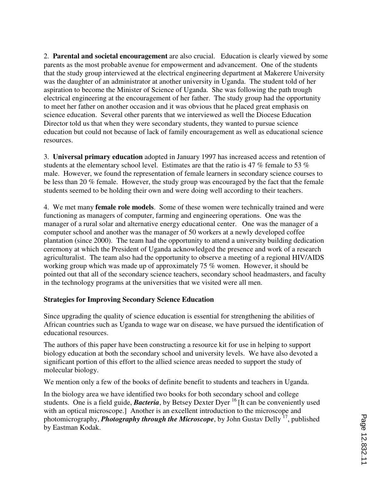2. **Parental and societal encouragement** are also crucial. Education is clearly viewed by some parents as the most probable avenue for empowerment and advancement. One of the students that the study group interviewed at the electrical engineering department at Makerere University was the daughter of an administrator at another university in Uganda. The student told of her aspiration to become the Minister of Science of Uganda. She was following the path trough electrical engineering at the encouragement of her father. The study group had the opportunity to meet her father on another occasion and it was obvious that he placed great emphasis on science education. Several other parents that we interviewed as well the Diocese Education Director told us that when they were secondary students, they wanted to pursue science education but could not because of lack of family encouragement as well as educational science resources.

3. **Universal primary education** adopted in January 1997 has increased access and retention of students at the elementary school level. Estimates are that the ratio is 47 % female to 53 % male. However, we found the representation of female learners in secondary science courses to be less than 20 % female. However, the study group was encouraged by the fact that the female students seemed to be holding their own and were doing well according to their teachers.

4. We met many **female role models**. Some of these women were technically trained and were functioning as managers of computer, farming and engineering operations. One was the manager of a rural solar and alternative energy educational center. One was the manager of a computer school and another was the manager of 50 workers at a newly developed coffee plantation (since 2000). The team had the opportunity to attend a university building dedication ceremony at which the President of Uganda acknowledged the presence and work of a research agriculturalist. The team also had the opportunity to observe a meeting of a regional HIV/AIDS working group which was made up of approximately 75 % women. However, it should be pointed out that all of the secondary science teachers, secondary school headmasters, and faculty in the technology programs at the universities that we visited were all men.

### **Strategies for Improving Secondary Science Education**

Since upgrading the quality of science education is essential for strengthening the abilities of African countries such as Uganda to wage war on disease, we have pursued the identification of educational resources.

The authors of this paper have been constructing a resource kit for use in helping to support biology education at both the secondary school and university levels. We have also devoted a significant portion of this effort to the allied science areas needed to support the study of molecular biology.

We mention only a few of the books of definite benefit to students and teachers in Uganda.

In the biology area we have identified two books for both secondary school and college students. One is a field guide, **Bacteria**, by Betsey Dexter Dyer <sup>16</sup> It can be conveniently used with an optical microscope.] Another is an excellent introduction to the microscope and photomicrography, *Photography through the Microscope*, by John Gustav Delly <sup>17</sup>, published by Eastman Kodak.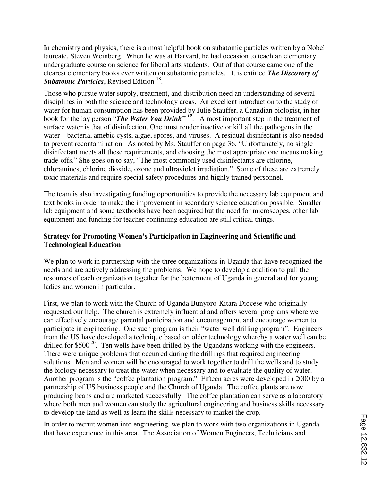In chemistry and physics, there is a most helpful book on subatomic particles written by a Nobel laureate, Steven Weinberg. When he was at Harvard, he had occasion to teach an elementary undergraduate course on science for liberal arts students. Out of that course came one of the clearest elementary books ever written on subatomic particles. It is entitled *The Discovery of*  Subatomic Particles, Revised Edition<sup>18</sup>.

Those who pursue water supply, treatment, and distribution need an understanding of several disciplines in both the science and technology areas. An excellent introduction to the study of water for human consumption has been provided by Julie Stauffer, a Canadian biologist, in her book for the lay person "*The Water You Drink*" <sup>19</sup>. A most important step in the treatment of surface water is that of disinfection. One must render inactive or kill all the pathogens in the water – bacteria, amebic cysts, algae, spores, and viruses. A residual disinfectant is also needed to prevent recontamination. As noted by Ms. Stauffer on page 36, "Unfortunately, no single disinfectant meets all these requirements, and choosing the most appropriate one means making trade-offs." She goes on to say, "The most commonly used disinfectants are chlorine, chloramines, chlorine dioxide, ozone and ultraviolet irradiation." Some of these are extremely toxic materials and require special safety procedures and highly trained personnel.

The team is also investigating funding opportunities to provide the necessary lab equipment and text books in order to make the improvement in secondary science education possible. Smaller lab equipment and some textbooks have been acquired but the need for microscopes, other lab equipment and funding for teacher continuing education are still critical things.

### **Strategy for Promoting Women's Participation in Engineering and Scientific and Technological Education**

We plan to work in partnership with the three organizations in Uganda that have recognized the needs and are actively addressing the problems. We hope to develop a coalition to pull the resources of each organization together for the betterment of Uganda in general and for young ladies and women in particular.

First, we plan to work with the Church of Uganda Bunyoro-Kitara Diocese who originally requested our help. The church is extremely influential and offers several programs where we can effectively encourage parental participation and encouragement and encourage women to participate in engineering. One such program is their "water well drilling program". Engineers from the US have developed a technique based on older technology whereby a water well can be drilled for \$500 $^{20}$ . Ten wells have been drilled by the Ugandans working with the engineers. There were unique problems that occurred during the drillings that required engineering solutions. Men and women will be encouraged to work together to drill the wells and to study the biology necessary to treat the water when necessary and to evaluate the quality of water. Another program is the "coffee plantation program." Fifteen acres were developed in 2000 by a partnership of US business people and the Church of Uganda. The coffee plants are now producing beans and are marketed successfully. The coffee plantation can serve as a laboratory where both men and women can study the agricultural engineering and business skills necessary to develop the land as well as learn the skills necessary to market the crop.

In order to recruit women into engineering, we plan to work with two organizations in Uganda that have experience in this area. The Association of Women Engineers, Technicians and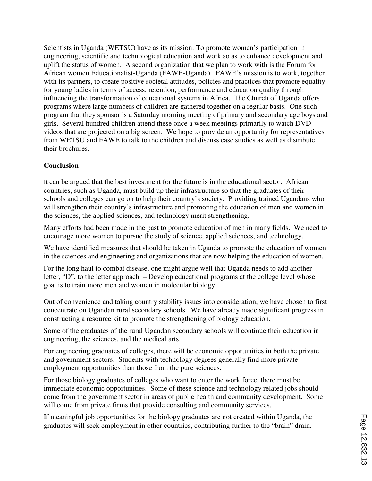Scientists in Uganda (WETSU) have as its mission: To promote women's participation in engineering, scientific and technological education and work so as to enhance development and uplift the status of women. A second organization that we plan to work with is the Forum for African women Educationalist-Uganda (FAWE-Uganda). FAWE's mission is to work, together with its partners, to create positive societal attitudes, policies and practices that promote equality for young ladies in terms of access, retention, performance and education quality through influencing the transformation of educational systems in Africa. The Church of Uganda offers programs where large numbers of children are gathered together on a regular basis. One such program that they sponsor is a Saturday morning meeting of primary and secondary age boys and girls. Several hundred children attend these once a week meetings primarily to watch DVD videos that are projected on a big screen. We hope to provide an opportunity for representatives from WETSU and FAWE to talk to the children and discuss case studies as well as distribute their brochures.

## **Conclusion**

It can be argued that the best investment for the future is in the educational sector. African countries, such as Uganda, must build up their infrastructure so that the graduates of their schools and colleges can go on to help their country's society. Providing trained Ugandans who will strengthen their country's infrastructure and promoting the education of men and women in the sciences, the applied sciences, and technology merit strengthening.

Many efforts had been made in the past to promote education of men in many fields. We need to encourage more women to pursue the study of science, applied sciences, and technology.

We have identified measures that should be taken in Uganda to promote the education of women in the sciences and engineering and organizations that are now helping the education of women.

For the long haul to combat disease, one might argue well that Uganda needs to add another letter, "D", to the letter approach – Develop educational programs at the college level whose goal is to train more men and women in molecular biology.

Out of convenience and taking country stability issues into consideration, we have chosen to first concentrate on Ugandan rural secondary schools. We have already made significant progress in constructing a resource kit to promote the strengthening of biology education.

Some of the graduates of the rural Ugandan secondary schools will continue their education in engineering, the sciences, and the medical arts.

For engineering graduates of colleges, there will be economic opportunities in both the private and government sectors. Students with technology degrees generally find more private employment opportunities than those from the pure sciences.

For those biology graduates of colleges who want to enter the work force, there must be immediate economic opportunities. Some of these science and technology related jobs should come from the government sector in areas of public health and community development. Some will come from private firms that provide consulting and community services.

If meaningful job opportunities for the biology graduates are not created within Uganda, the graduates will seek employment in other countries, contributing further to the "brain" drain.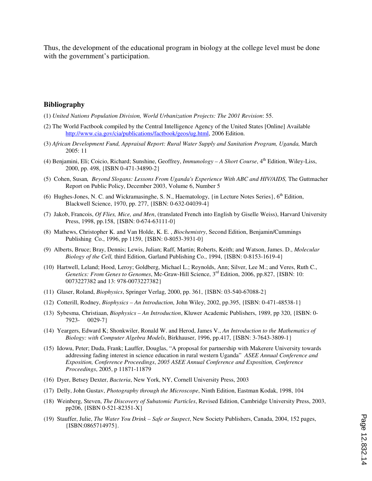Thus, the development of the educational program in biology at the college level must be done with the government's participation.

#### **Bibliography**

- (1) *United Nations Population Division, World Urbanization Projects: The 2001 Revision*: 55.
- (2) The World Factbook compiled by the Central Intelligence Agency of the United States [Online] Available http://www.cia.gov/cia/publications/factbook/geos/ug.html, 2006 Edition.
- (3) *African Development Fund, Appraisal Report: Rural Water Supply and Sanitation Program, Uganda,* March 2005: 11
- (4) Benjamini, Eli; Coicio, Richard; Sunshine, Geoffrey, *Immunology A Short Course*, 4th Edition, Wiley-Liss, 2000, pp. 498, {ISBN 0-471-34890-2}
- (5) Cohen, Susan*, Beyond Slogans: Lessons From Uganda's Experience With ABC and HIV/AIDS,* The Guttmacher Report on Public Policy, December 2003, Volume 6, Number 5
- (6) Hughes-Jones, N. C. and Wickramasinghe, S. N., Haematology,  $\{\text{in Lecture Notes Series}\}\$ ,  $6^{\text{th}}$  Edition, Blackwell Science, 1970, pp. 277, {ISBN: 0-632-04039-4}
- (7) Jakob, Francois, *Of Flies, Mice, and Men*, (translated French into English by Giselle Weiss), Harvard University Press, 1998, pp.158, {ISBN: 0-674-63111-0}
- (8) Mathews, Christopher K. and Van Holde, K. E. , *Biochemistry*, Second Edition, Benjamin/Cummings Publishing Co., 1996, pp 1159, {ISBN: 0-8053-3931-0}
- (9) Alberts, Bruce; Bray, Dennis; Lewis, Julian; Raff, Martin; Roberts, Keith; and Watson, James. D., *Molecular Biology of the Cell,* third Edition, Garland Publishing Co., 1994, {ISBN: 0-8153-1619-4}
- (10) Hartwell, Leland; Hood, Leroy; Goldberg, Michael L.; Reynolds, Ann; Silver, Lee M.; and Veres, Ruth C., *Genetics: From Genes to Genomes*, Mc-Graw-Hill Science, 3rd Edition, 2006, pp.827, {ISBN: 10: 0073227382 and 13: 978-0073227382}
- (11) Glaser, Roland, *Biophysics*, Springer Verlag, 2000, pp. 361, {ISBN: 03-540-67088-2}
- (12) Cotterill, Rodney, *Biophysics An Introduction,* John Wiley, 2002, pp.395, {ISBN: 0-471-48538-1}
- (13) Sybesma, Christiaan, *Biophysics An Introduction*, Kluwer Academic Publishers, 1989, pp 320, {ISBN: 0- 7923- 0029-7}
- (14) Yeargers, Edward K; Shonkwiler, Ronald W. and Herod, James V., *An Introduction to the Mathematics of Biology: with Computer Algebra Models*, Birkhauser, 1996, pp.417, {ISBN: 3-7643-3809-1}
- (15) Idowu, Peter; Duda, Frank; Lauffer, Douglas, "A proposal for partnership with Makerere University towards addressing fading interest in science education in rural western Uganda" *ASEE Annual Conference and Exposition, Conference Proceedings*, *2005 ASEE Annual Conference and Exposition, Conference Proceedings*, 2005, p 11871-11879
- (16) Dyer, Betsey Dexter, *Bacteria*, New York, NY, Cornell University Press, 2003
- (17) Delly, John Gustav, *Photography through the Microscope*, Ninth Edition, Eastman Kodak, 1998, 104
- (18) Weinberg, Steven, *The Discovery of Subatomic Particles*, Revised Edition, Cambridge University Press, 2003, pp206, {ISBN 0-521-82351-X}
- (19) Stauffer, Julie, *The Water You Drink Safe or Suspect*, New Society Publishers, Canada, 2004, 152 pages, {ISBN:0865714975}.